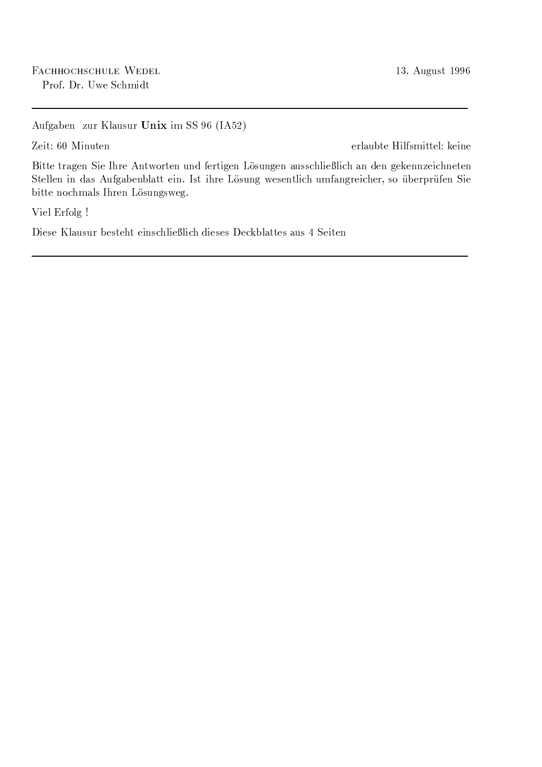Aufgaben zur Klausur Unix im SS 96 (IA52)

Zeit: 60 Minuten

erlaubte Hilfsmittel: keine

Bitte tragen Sie Ihre Antworten und fertigen Lösungen ausschließlich an den gekennzeichneten Stellen in das Aufgabenblatt ein. Ist ihre Lösung wesentlich umfangreicher, so überprüfen Sie bitte nochmals Ihren Lösungsweg.

Viel Erfolg !

Diese Klausur besteht einschließlich dieses Deckblattes aus 4 Seiten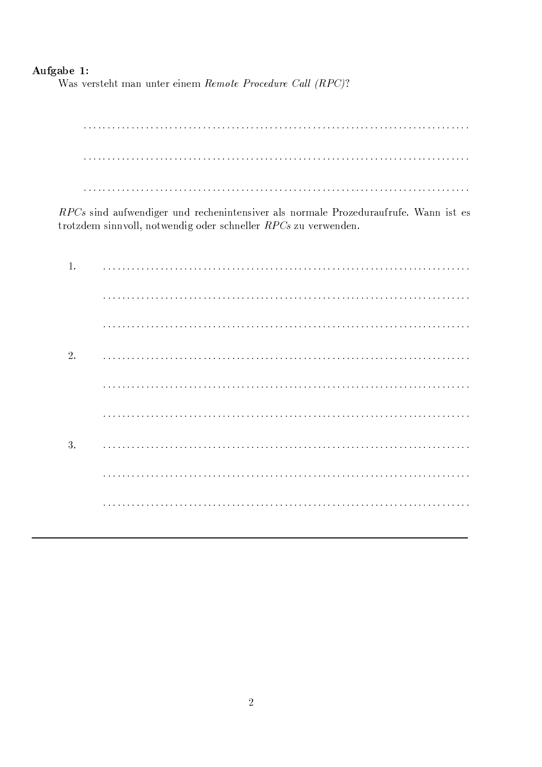## Aufgabe 1:

Was versteht man unter einem Remote Procedure Call (RPC)?

RPCs sind aufwendiger und rechenintensiver als normale Prozeduraufrufe. Wann ist es trotzdem sinnvoll, notwendig oder schneller RPCs zu verwenden.

| 2. |   |
|----|---|
|    |   |
|    |   |
| 3. | . |
|    |   |
|    |   |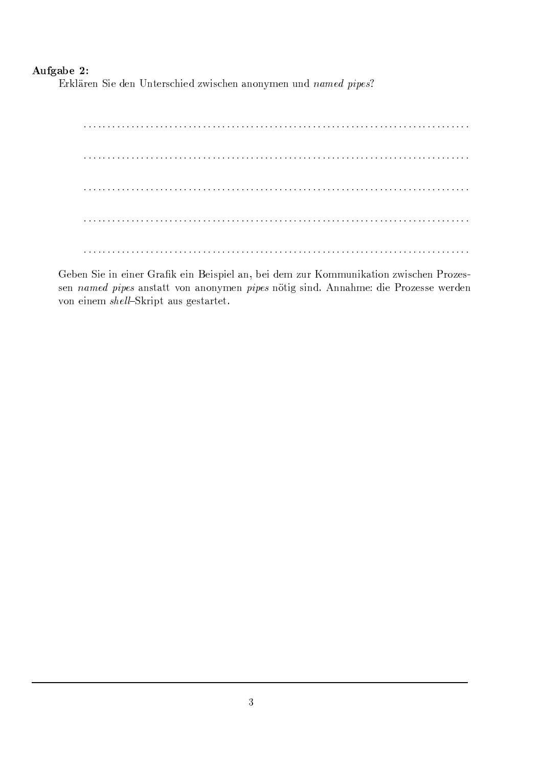## -

\*)YjqI @ )o3DQ5;R3 <sup>t</sup> =73D 10Dq"Y3&)m o6m8-;\_3= E2;? ,698q3D<@.D-+TD-q:c3&DhD= , "& ; <sup>6</sup>

898:8:88:8:8:8:898:8%898:8:8:8:898%8:898:8:8:88:8:8:898:8:88:8:8:8:898:8%898:8:8:8:88:8:898:8:8:88:8:8:898:8:88:8:8:8:898:8%898:8:8:8:88:8:898:8:8:88:8:8 898:8:88:8:8:8:898:8%898:8:8:8:898%8:898:8:8:88:8:8:898:8:88:8:8:8:898:8%898:8:8:8:88:8:898:8:8:88:8:8:898:8:88:8:8:8:898:8%898:8:8:8:88:8:898:8:8:88:8:8 898:8:88:8:8:8:898:8%898:8:8:8:898%8:898:8:8:88:8:8:898:8:88:8:8:8:898:8%898:8:8:8:88:8:898:8:8:88:8:8:898:8:88:8:8:8:898:8%898:8:8:8:88:8:898:8:8:88:8:8 898:8:88:8:8:8:898:8%898:8:8:8:898%8:898:8:8:88:8:8:898:8:88:8:8:8:898:8%898:8:8:8:88:8:898:8:8:88:8:8:898:8:88:8:8:8:898:8%898:8:8:8:88:8:898:8:8:88:8:8 898:8:88:8:8:8:898:8%898:8:8:8:898%8:898:8:8:88:8:8:898:8:88:8:8:8:898:8%898:8:8:8:88:8:898:8:8:88:8:8:898:8:88:8:8:8:898:8%898:8:8:8:88:8:898:8:8:88:8:8

3KB!3Ds5;\_3 ;\_DN3.;\_D3&) )m@
!jN3.;\_Dk43.;? #}-;R3&I@ D{!B3 ;=73: E-)HGJ+:h:qD-;\_j-@"#;R+TD E2;? o6m83&DN(\*)o+E&3  $\blacksquare$  , the contract of the contract of the contract of the contract of the contract of the contract of the contract of the contract of the contract of the contract of the contract of the contract of the contract of the  $\blacksquare$  and  $\blacksquare$  . The state  $\blacksquare$  and  $\blacksquare$